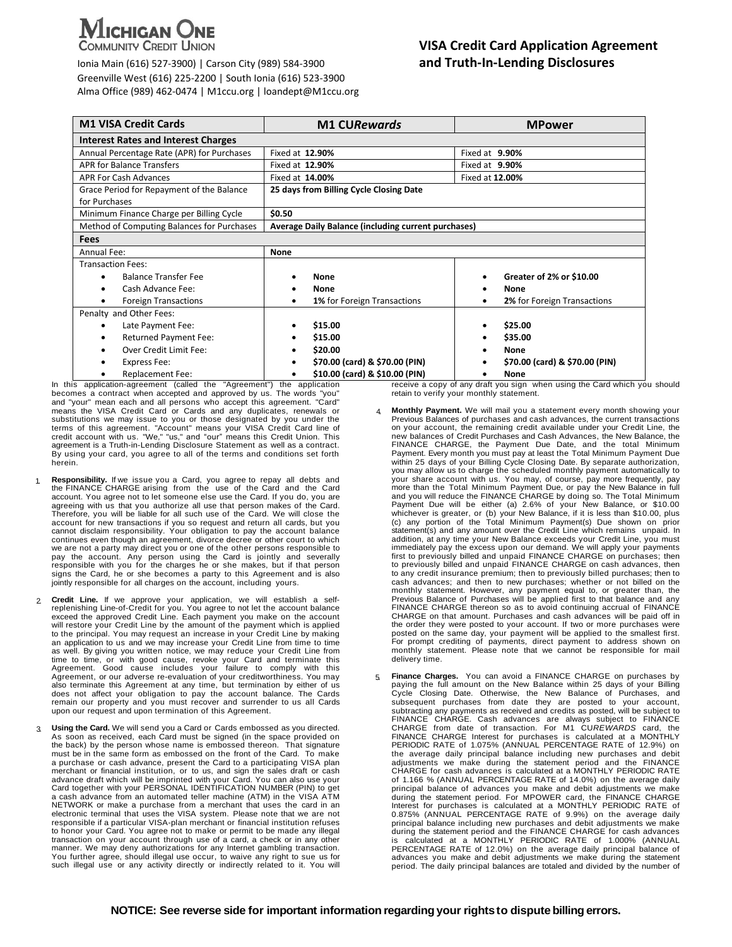# **ICHIGAN ONE**

**COMMUNITY CREDIT UNION** 

 Ionia Main (616) 527-3900) | Carson City (989) 584-3900 **and Truth-In-Lending Disclosures** Greenville West (616) 225-2200 | South Ionia (616) 523-3900 Alma Office (989) 462-0474 | M1ccu.org | loandept@M1ccu.org

## **VISA Credit Card Application Agreement**

| <b>M1 VISA Credit Cards</b>                | <b>M1 CURewards</b>                                        | <b>MPower</b>                    |
|--------------------------------------------|------------------------------------------------------------|----------------------------------|
| <b>Interest Rates and Interest Charges</b> |                                                            |                                  |
| Annual Percentage Rate (APR) for Purchases | Fixed at 12.90%                                            | Fixed at 9.90%                   |
| <b>APR for Balance Transfers</b>           | Fixed at 12.90%                                            | Fixed at 9.90%                   |
| <b>APR For Cash Advances</b>               | Fixed at 14.00%                                            | Fixed at 12.00%                  |
| Grace Period for Repayment of the Balance  | 25 days from Billing Cycle Closing Date                    |                                  |
| for Purchases                              |                                                            |                                  |
| Minimum Finance Charge per Billing Cycle   | \$0.50                                                     |                                  |
| Method of Computing Balances for Purchases | <b>Average Daily Balance (including current purchases)</b> |                                  |
| <b>Fees</b>                                |                                                            |                                  |
| Annual Fee:                                | <b>None</b>                                                |                                  |
| <b>Transaction Fees:</b>                   |                                                            |                                  |
| <b>Balance Transfer Fee</b>                | <b>None</b>                                                | Greater of 2% or \$10.00         |
| Cash Advance Fee:                          | <b>None</b>                                                | None                             |
| <b>Foreign Transactions</b><br>٠           | 1% for Foreign Transactions<br>٠                           | 2% for Foreign Transactions<br>٠ |
| Penalty and Other Fees:                    |                                                            |                                  |
| Late Payment Fee:                          | \$15.00                                                    | \$25.00                          |
| <b>Returned Payment Fee:</b>               | \$15.00                                                    | \$35.00                          |
| Over Credit Limit Fee:                     | \$20.00<br>٠                                               | <b>None</b>                      |
| Express Fee:                               | \$70.00 (card) & \$70.00 (PIN)                             | \$70.00 (card) & \$70.00 (PIN)   |
| Replacement Fee:                           | \$10.00 (card) & \$10.00 (PIN)<br>٠                        | <b>None</b>                      |

In this application-agreement (called the "Agreement") the application becomes a contract when accepted and approved by us. The words "you" and "your" mean each and all persons who accept this agreement. "Card" means the VISA Credit Card or Cards and any duplicates, renewals or substitutions we may issue to you or those designated by you under the terms of this agreement. "Account" means your VISA Credit Card line of<br>credit account with us. "We," "us," and "our" means this Credit Union. This<br>agre By using your card, you agree to all of the terms and conditions set forth herein.

- 1. **Responsibility.** If we issue you a Card, you agree to repay all debts and the FINANCE CHARGE arising from the use of the Card and the Card account. You agree not to let someone else use the Card. If you do, you are agreeing with us that you authorize all use that person makes of the Card. Therefore, you will be liable for all such use of the Card. We will close the account for new transactions if you so request and return all cards, but you cannot disclaim responsibility. Your obligation to pay the account balance continues even though an agreement, divorce decree or other court to which we are not a party may direct you or one of the other persons responsible to pay the account. Any person using the Card is jointly and severally responsible with you for the charges he or she makes, but if that person signs the Card, he or she becomes a party to this Agreement and is also jointly responsible for all charges on the account, including yours.
- 2 **Credit Line.** If we approve your application, we will establish a self-<br>replenishing Line-of-Credit for you. You agree to not let the account balance<br>exceed the approved Credit Line. Each payment you make on the account to the principal. You may request an increase in your Credit Line by making an application to us and we may increase your Credit Line from time to time<br>as well. By giving you written notice, we may reduce your Credit Line from<br>time to time, or with good cause, revoke your Card and terminate this<br>A Agreement, or our adverse re-evaluation of your creditworthiness. You may also terminate this Agreement at any time, but termination by either of us does not affect your obligation to pay the account balance. The Cards remain our property and you must recover and surrender to us all Cards upon our request and upon termination of this Agreement.
- Using the Card. We will send you a Card or Cards embossed as you directed. As soon as received, each Card must be signed (in the space provided on the back) by the person whose name is embossed thereon. That signature must be in the same form as embossed on the front of the Card. To make a purchase or cash advance, present the Card to a participating VISA plan merchant or financial institution, or to us, and sign the sales draft or cash advance draft which will be imprinted with your Card. You can also use your Card together with your PERSONAL IDENTIFICATION NUMBER (PIN) to get a cash advance from an automated teller machine (ATM) in the VISA ATM NETWORK or make a purchase from a merchant that uses the card in an electronic terminal that uses the VISA system. Please note that we are not responsible if a particular VISA-plan merchant or financial institution refuses<br>to honor your Card. You agree not to make or permit to be made any illegal<br>transaction on your account through use of a card, a check or in an manner. We may deny authorizations for any Internet gambling transaction. You further agree, should illegal use occur, to waive any right to sue us for such illegal use or any activity directly or indirectly related to it. You will

receive a copy of any draft you sign when using the Card which you should retain to verify your monthly statement.

- 4. **Monthly Payment.** We will mail you a statement every month showing your Previous Balances of purchases and cash advances, the current transactions on your account, the remaining credit available under your Credit Line, the new balances of Credit Purchases and Cash Advances, the New Balance, the FINANCE CHARGE, the Payment Due Date, and the total Minimum Payment. Every month you must pay at least the Total Minimum Payment Due<br>within 25 days of your Billing Cycle Closing Date. By separate authorization,<br>you may allow us to charge the scheduled monthly payment automatically more than the Total Minimum Payment Due, or pay the New Balance in full and you will reduce the FINANCE CHARGE by doing so. The Total Minimum Payment Due will be either (a) 2.6% of your New Balance, or \$10.00<br>whichever is greater, or (b) your New Balance, if it is less than \$10.00, plus<br>(c) any portion of the Total Minimum Payment(s) Due shown on prior statement(s) and any amount over the Credit Line which remains unpaid. In addition, at any time your New Balance exceeds your Credit Line, you must immediately pay the excess upon our demand. We will apply your payments first to previously billed and unpaid FINANCE CHARGE on purchases; then to previously billed and unpaid FINANCE CHARGE on cash advances, then to any credit insurance premium; then to previously billed purchases; then to cash advances; and then to new purchases; whether or not billed on the monthly statement. However, any payment equal to, or greater than, the Previous Balance of Purchases will be applied first to that balance and any FINANCE CHARGE thereon so as to avoid continuing accrual of FINANCE CHARGE on that amount. Purchases and cash advances will be paid off in the order they were posted to your account. If two or more purchases were posted on the same day, your payment will be applied to the smallest first. For prompt crediting of payments, direct payment to address shown on monthly statement. Please note that we cannot be responsible for mail delivery time.
- 5. **Finance Charges.** You can avoid a FINANCE CHARGE on purchases by paying the full amount on the New Balance within 25 days of your Billing Cycle Closing Date. Otherwise, the New Balance of Purchases, and subsequent purchases from date they are posted to your account, subtracting any payments as received and credits as posted, will be subject to FINANCE CHARGE. Cash advances are always subject to FINANCE CHARGE from date of transaction. For M1 CU*REWARDS* card, the FINANCE CHARGE Interest for purchases is calculated at a MONTHLY PERIODIC RATE of 1.075% (ANNUAL PERCENTAGE RATE of 12.9%) on the average daily principal balance including new purchases and debit<br>adjustments we make during the statement period and the FINANCE<br>CHARGE for cash advances is calculated at a MONTHLY PERIODIC RATE of 1.166 % (ANNUAL PERCENTAGE RATE of 14.0%) on the average daily principal balance of advances you make and debit adjustments we make<br>during the statement period. For MPOWER card, the FINANCE CHARGE<br>Interest for purchases is calculated at a MONTHLY PERIODIC RATE of<br>0.875% (ANNUAL PERCEN principal balance including new purchases and debit adjustments we make during the statement period and the FINANCE CHARGE for cash advances is calculated at a MONTHLY PERIODIC RATE of 1.000% (ANNUAL PERCENTAGE RATE of 12.0%) on the average daily principal balance of advances you make and debit adjustments we make during the statement period. The daily principal balances are totaled and divided by the number of